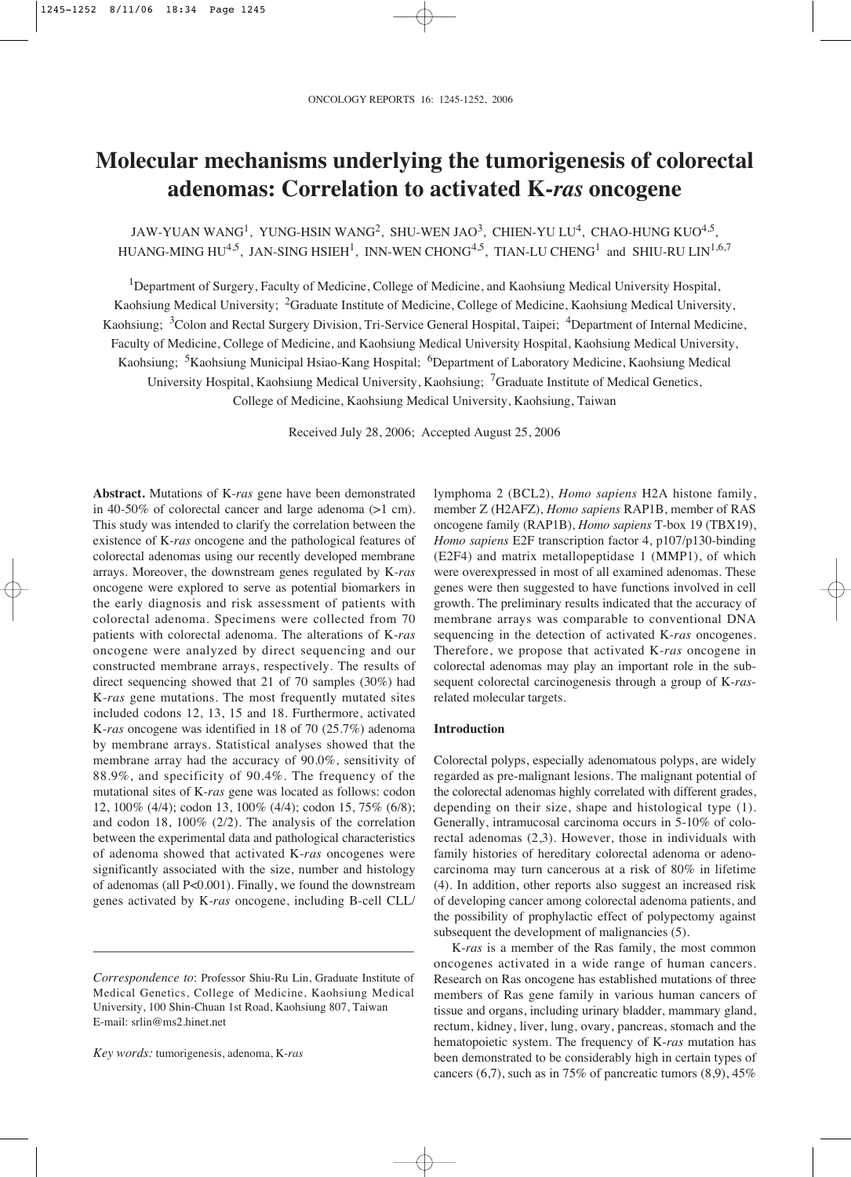# **Molecular mechanisms underlying the tumorigenesis of colorectal adenomas: Correlation to activated K-***ras* **oncogene**

JAW-YUAN WANG<sup>1</sup>, YUNG-HSIN WANG<sup>2</sup>, SHU-WEN JAO<sup>3</sup>, CHIEN-YU LU<sup>4</sup>, CHAO-HUNG KUO<sup>4,5</sup>, HUANG-MING HU<sup>4,5</sup>, JAN-SING HSIEH<sup>1</sup>, INN-WEN CHONG<sup>4,5</sup>, TIAN-LU CHENG<sup>1</sup> and SHIU-RU LIN<sup>1,6,7</sup>

<sup>1</sup>Department of Surgery, Faculty of Medicine, College of Medicine, and Kaohsiung Medical University Hospital, Kaohsiung Medical University; <sup>2</sup>Graduate Institute of Medicine, College of Medicine, Kaohsiung Medical University, Kaohsiung; <sup>3</sup>Colon and Rectal Surgery Division, Tri-Service General Hospital, Taipei; <sup>4</sup>Department of Internal Medicine, Faculty of Medicine, College of Medicine, and Kaohsiung Medical University Hospital, Kaohsiung Medical University, Kaohsiung; <sup>5</sup>Kaohsiung Municipal Hsiao-Kang Hospital; <sup>6</sup>Department of Laboratory Medicine, Kaohsiung Medical University Hospital, Kaohsiung Medical University, Kaohsiung; 7Graduate Institute of Medical Genetics, College of Medicine, Kaohsiung Medical University, Kaohsiung, Taiwan

Received July 28, 2006; Accepted August 25, 2006

**Abstract.** Mutations of K-*ras* gene have been demonstrated in 40-50% of colorectal cancer and large adenoma (>1 cm). This study was intended to clarify the correlation between the existence of K-*ras* oncogene and the pathological features of colorectal adenomas using our recently developed membrane arrays. Moreover, the downstream genes regulated by K-*ras* oncogene were explored to serve as potential biomarkers in the early diagnosis and risk assessment of patients with colorectal adenoma. Specimens were collected from 70 patients with colorectal adenoma. The alterations of K-*ras* oncogene were analyzed by direct sequencing and our constructed membrane arrays, respectively. The results of direct sequencing showed that 21 of 70 samples (30%) had K-*ras* gene mutations. The most frequently mutated sites included codons 12, 13, 15 and 18. Furthermore, activated K-*ras* oncogene was identified in 18 of 70 (25.7%) adenoma by membrane arrays. Statistical analyses showed that the membrane array had the accuracy of 90.0%, sensitivity of 88.9%, and specificity of 90.4%. The frequency of the mutational sites of K-*ras* gene was located as follows: codon 12, 100% (4/4); codon 13, 100% (4/4); codon 15, 75% (6/8); and codon 18, 100% (2/2). The analysis of the correlation between the experimental data and pathological characteristics of adenoma showed that activated K-*ras* oncogenes were significantly associated with the size, number and histology of adenomas (all P<0.001). Finally, we found the downstream genes activated by K-*ras* oncogene, including B-cell CLL/

\_\_\_\_\_\_\_\_\_\_\_\_\_\_\_\_\_\_\_\_\_\_\_\_\_\_\_\_\_\_\_\_\_\_\_\_\_\_\_\_\_

*Key words:* tumorigenesis, adenoma, K-*ras*

lymphoma 2 (BCL2), *Homo sapiens* H2A histone family, member Z (H2AFZ), *Homo sapiens* RAP1B, member of RAS oncogene family (RAP1B), *Homo sapiens* T-box 19 (TBX19), *Homo sapiens* E2F transcription factor 4, p107/p130-binding (E2F4) and matrix metallopeptidase 1 (MMP1), of which were overexpressed in most of all examined adenomas. These genes were then suggested to have functions involved in cell growth. The preliminary results indicated that the accuracy of membrane arrays was comparable to conventional DNA sequencing in the detection of activated K-*ras* oncogenes. Therefore, we propose that activated K-*ras* oncogene in colorectal adenomas may play an important role in the subsequent colorectal carcinogenesis through a group of K-*ras*related molecular targets.

# **Introduction**

Colorectal polyps, especially adenomatous polyps, are widely regarded as pre-malignant lesions. The malignant potential of the colorectal adenomas highly correlated with different grades, depending on their size, shape and histological type (1). Generally, intramucosal carcinoma occurs in 5-10% of colorectal adenomas (2,3). However, those in individuals with family histories of hereditary colorectal adenoma or adenocarcinoma may turn cancerous at a risk of 80% in lifetime (4). In addition, other reports also suggest an increased risk of developing cancer among colorectal adenoma patients, and the possibility of prophylactic effect of polypectomy against subsequent the development of malignancies  $(5)$ .

K-*ras* is a member of the Ras family, the most common oncogenes activated in a wide range of human cancers. Research on Ras oncogene has established mutations of three members of Ras gene family in various human cancers of tissue and organs, including urinary bladder, mammary gland, rectum, kidney, liver, lung, ovary, pancreas, stomach and the hematopoietic system. The frequency of K-*ras* mutation has been demonstrated to be considerably high in certain types of cancers  $(6,7)$ , such as in 75% of pancreatic tumors  $(8,9)$ , 45%

*Correspondence to*: Professor Shiu-Ru Lin, Graduate Institute of Medical Genetics, College of Medicine, Kaohsiung Medical University, 100 Shin-Chuan 1st Road, Kaohsiung 807, Taiwan E-mail: srlin@ms2.hinet.net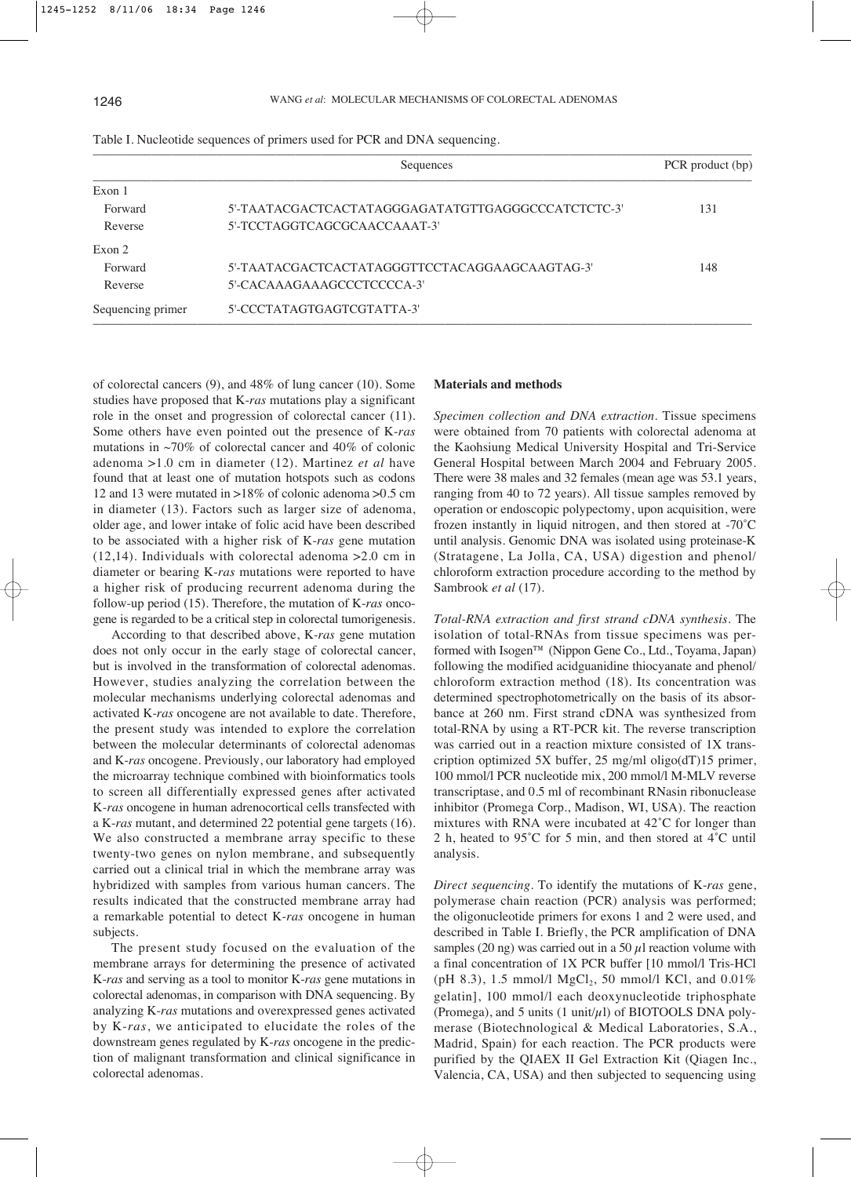| Sequences                                          | PCR product (bp) |
|----------------------------------------------------|------------------|
|                                                    |                  |
| 5'-TAATACGACTCACTATAGGGAGATATGTTGAGGGCCCATCTCTC-3' | 131              |
| 5'-TCCTAGGTCAGCGCAACCAAAT-3'                       |                  |
|                                                    |                  |
| 5'-TAATACGACTCACTATAGGGTTCCTACAGGAAGCAAGTAG-3'     | 148              |
| 5'-CACAAAGAAAGCCCTCCCCA-3'                         |                  |
| 5'-CCCTATAGTGAGTCGTATTA-3'                         |                  |
|                                                    |                  |

| Table I. Nucleotide sequences of primers used for PCR and DNA sequencing. |  |  |  |  |  |  |
|---------------------------------------------------------------------------|--|--|--|--|--|--|
|---------------------------------------------------------------------------|--|--|--|--|--|--|

of colorectal cancers (9), and 48% of lung cancer (10). Some studies have proposed that K-*ras* mutations play a significant role in the onset and progression of colorectal cancer (11). Some others have even pointed out the presence of K-*ras* mutations in  $\sim$ 70% of colorectal cancer and 40% of colonic adenoma >1.0 cm in diameter (12). Martinez *et al* have found that at least one of mutation hotspots such as codons 12 and 13 were mutated in >18% of colonic adenoma >0.5 cm in diameter (13). Factors such as larger size of adenoma, older age, and lower intake of folic acid have been described to be associated with a higher risk of K-*ras* gene mutation (12,14). Individuals with colorectal adenoma >2.0 cm in diameter or bearing K-*ras* mutations were reported to have a higher risk of producing recurrent adenoma during the follow-up period (15). Therefore, the mutation of K-*ras* oncogene is regarded to be a critical step in colorectal tumorigenesis.

According to that described above, K-*ras* gene mutation does not only occur in the early stage of colorectal cancer, but is involved in the transformation of colorectal adenomas. However, studies analyzing the correlation between the molecular mechanisms underlying colorectal adenomas and activated K-*ras* oncogene are not available to date. Therefore, the present study was intended to explore the correlation between the molecular determinants of colorectal adenomas and K-*ras* oncogene. Previously, our laboratory had employed the microarray technique combined with bioinformatics tools to screen all differentially expressed genes after activated K-*ras* oncogene in human adrenocortical cells transfected with a K-*ras* mutant, and determined 22 potential gene targets (16). We also constructed a membrane array specific to these twenty-two genes on nylon membrane, and subsequently carried out a clinical trial in which the membrane array was hybridized with samples from various human cancers. The results indicated that the constructed membrane array had a remarkable potential to detect K-*ras* oncogene in human subjects.

The present study focused on the evaluation of the membrane arrays for determining the presence of activated K-*ras* and serving as a tool to monitor K-*ras* gene mutations in colorectal adenomas, in comparison with DNA sequencing. By analyzing K-*ras* mutations and overexpressed genes activated by K-*ras*, we anticipated to elucidate the roles of the downstream genes regulated by K-*ras* oncogene in the prediction of malignant transformation and clinical significance in colorectal adenomas.

#### **Materials and methods**

*Specimen collection and DNA extraction*. Tissue specimens were obtained from 70 patients with colorectal adenoma at the Kaohsiung Medical University Hospital and Tri-Service General Hospital between March 2004 and February 2005. There were 38 males and 32 females (mean age was 53.1 years, ranging from 40 to 72 years). All tissue samples removed by operation or endoscopic polypectomy, upon acquisition, were frozen instantly in liquid nitrogen, and then stored at -70˚C until analysis. Genomic DNA was isolated using proteinase-K (Stratagene, La Jolla, CA, USA) digestion and phenol/ chloroform extraction procedure according to the method by Sambrook *et al* (17).

*Total-RNA extraction and first strand cDNA synthesis*. The isolation of total-RNAs from tissue specimens was performed with Isogen™ (Nippon Gene Co., Ltd., Toyama, Japan) following the modified acidguanidine thiocyanate and phenol/ chloroform extraction method (18). Its concentration was determined spectrophotometrically on the basis of its absorbance at 260 nm. First strand cDNA was synthesized from total-RNA by using a RT-PCR kit. The reverse transcription was carried out in a reaction mixture consisted of 1X transcription optimized 5X buffer, 25 mg/ml oligo(dT)15 primer, 100 mmol/l PCR nucleotide mix, 200 mmol/l M-MLV reverse transcriptase, and 0.5 ml of recombinant RNasin ribonuclease inhibitor (Promega Corp., Madison, WI, USA). The reaction mixtures with RNA were incubated at 42˚C for longer than 2 h, heated to 95˚C for 5 min, and then stored at 4˚C until analysis.

*Direct sequencing*. To identify the mutations of K-*ras* gene, polymerase chain reaction (PCR) analysis was performed; the oligonucleotide primers for exons 1 and 2 were used, and described in Table I. Briefly, the PCR amplification of DNA samples (20 ng) was carried out in a 50  $\mu$ l reaction volume with a final concentration of 1X PCR buffer [10 mmol/l Tris-HCl (pH 8.3), 1.5 mmol/l  $MgCl_2$ , 50 mmol/l KCl, and 0.01% gelatin], 100 mmol/l each deoxynucleotide triphosphate (Promega), and 5 units  $(1 \t{unit} \mu I)$  of BIOTOOLS DNA polymerase (Biotechnological & Medical Laboratories, S.A., Madrid, Spain) for each reaction. The PCR products were purified by the QIAEX II Gel Extraction Kit (Qiagen Inc., Valencia, CA, USA) and then subjected to sequencing using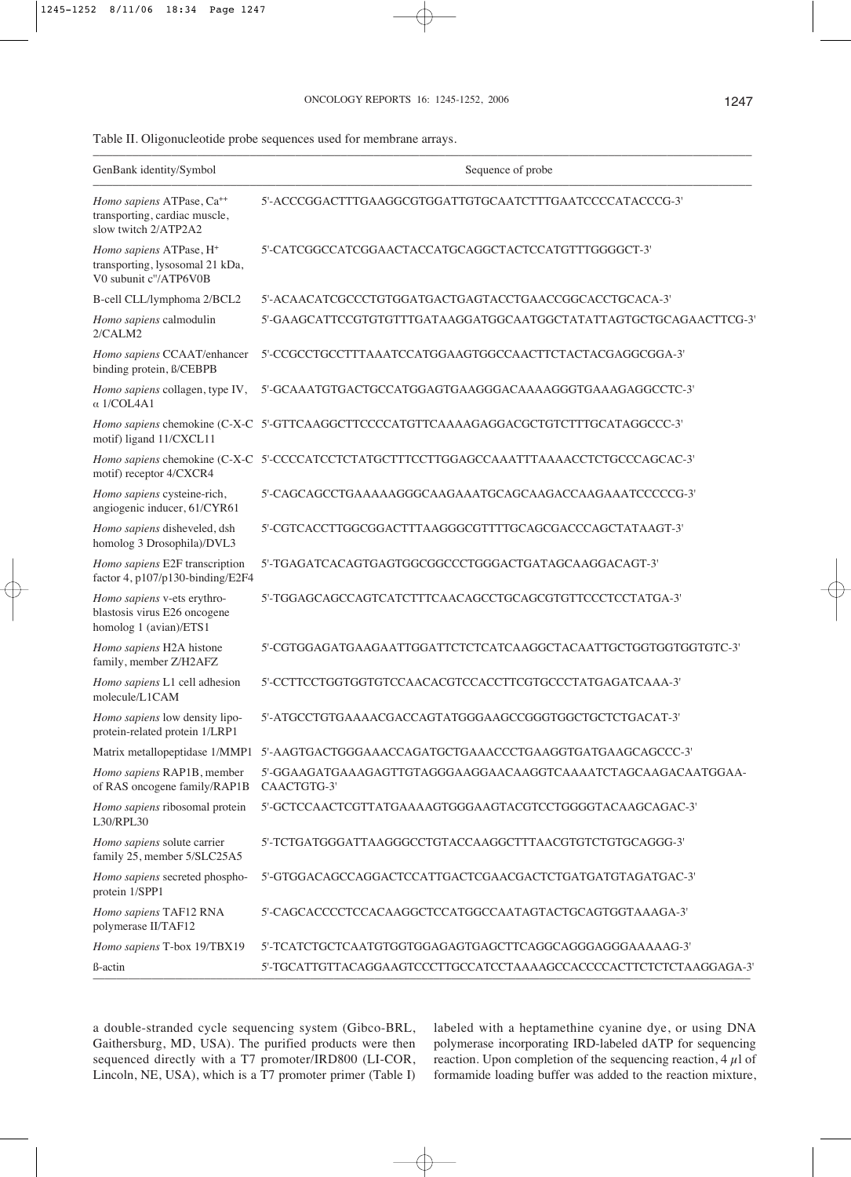Table II. Oligonucleotide probe sequences used for membrane arrays.

| GenBank identity/Symbol                                                                         | Sequence of probe                                                                        |
|-------------------------------------------------------------------------------------------------|------------------------------------------------------------------------------------------|
| Homo sapiens ATPase, Ca <sup>++</sup><br>transporting, cardiac muscle,<br>slow twitch 2/ATP2A2  | 5'-ACCCGGACTTTGAAGGCGTGGATTGTGCAATCTTTGAATCCCCATACCCG-3'                                 |
| Homo sapiens ATPase, H <sup>+</sup><br>transporting, lysosomal 21 kDa,<br>V0 subunit c"/ATP6V0B | 5'-CATCGGCCATCGGAACTACCATGCAGGCTACTCCATGTTTGGGGCT-3'                                     |
| B-cell CLL/lymphoma 2/BCL2                                                                      | 5'-ACAACATCGCCCTGTGGATGACTGAGTACCTGAACCGGCACCTGCACA-3'                                   |
| Homo sapiens calmodulin<br>2/CALM2                                                              | 5'-GAAGCATTCCGTGTGTTTGATAAGGATGGCAATGGCTATATTAGTGCTGCAGAACTTCG-3'                        |
| Homo sapiens CCAAT/enhancer<br>binding protein, B/CEBPB                                         | 5'-CCGCCTGCCTTTAAATCCATGGAAGTGGCCAACTTCTACTACGAGGCGGA-3'                                 |
| Homo sapiens collagen, type IV,<br>$\alpha$ 1/COL4A1                                            | 5'-GCAAATGTGACTGCCATGGAGTGAAGGGACAAAAGGGTGAAAGAGGCCTC-3'                                 |
| motif) ligand 11/CXCL11                                                                         | Homo sapiens chemokine (C-X-C 5'-GTTCAAGGCTTCCCCATGTTCAAAAGAGGACGCTGTCTTTGCATAGGCCC-3'   |
| motif) receptor 4/CXCR4                                                                         | Homo sapiens chemokine (C-X-C 5'-CCCCATCCTCTATGCTTTCCTTGGAGCCAAATTTAAAACCTCTGCCCAGCAC-3' |
| Homo sapiens cysteine-rich,<br>angiogenic inducer, 61/CYR61                                     | 5'-CAGCAGCCTGAAAAAGGGCAAGAAATGCAGCAAGACCAAGAAATCCCCCG-3'                                 |
| Homo sapiens disheveled, dsh<br>homolog 3 Drosophila)/DVL3                                      | 5'-CGTCACCTTGGCGGACTTTAAGGGCGTTTTGCAGCGACCCAGCTATAAGT-3'                                 |
| Homo sapiens E2F transcription<br>factor 4, p107/p130-binding/E2F4                              | 5'-TGAGATCACAGTGAGTGGCGGCCCTGGGACTGATAGCAAGGACAGT-3'                                     |
| Homo sapiens v-ets erythro-<br>blastosis virus E26 oncogene<br>homolog 1 (avian)/ETS1           | 5'-TGGAGCAGCCAGTCATCTTTCAACAGCCTGCAGCGTGTTCCCTCCTATGA-3'                                 |
| Homo sapiens H2A histone<br>family, member Z/H2AFZ                                              | 5'-CGTGGAGATGAAGAATTGGATTCTCTCATCAAGGCTACAATTGCTGGTGGTGGTG-3'                            |
| Homo sapiens L1 cell adhesion<br>molecule/L1CAM                                                 | 5'-CCTTCCTGGTGGTGTCCAACACGTCCACCTTCGTGCCCTATGAGATCAAA-3'                                 |
| Homo sapiens low density lipo-<br>protein-related protein 1/LRP1                                | 5'-ATGCCTGTGAAAACGACCAGTATGGGAAGCCGGGTGGCTGCTCTCACAT-3'                                  |
|                                                                                                 | Matrix metallopeptidase 1/MMP1 5'-AAGTGACTGGGAAACCAGATGCTGAAACCCTGAAGGTGATGAAGCAGCCC-3'  |
| Homo sapiens RAP1B, member<br>of RAS oncogene family/RAP1B                                      | 5'-GGAAGATGAAAGAGTTGTAGGGAAGGAACAAGGTCAAAATCTAGCAAGACAATGGAA-<br>CAACTGTG-3'             |
| Homo sapiens ribosomal protein<br>L30/RPL30                                                     | 5'-GCTCCAACTCGTTATGAAAAGTGGGAAGTACGTCCTGGGGTACAAGCAGAC-3'                                |
| Homo sapiens solute carrier<br>family 25, member 5/SLC25A5                                      | 5'-TCTGATGGGATTAAGGGCCTGTACCAAGGCTTTAACGTGTCTGTGCAGGG-3'                                 |
| Homo sapiens secreted phospho-<br>protein 1/SPP1                                                | 5'-GTGGACAGCCAGGACTCCATTGACTCGAACGACTCTGATGATGTAGATGAC-3'                                |
| Homo sapiens TAF12 RNA<br>polymerase II/TAF12                                                   | 5'-CAGCACCCCTCCACAAGGCTCCATGGCCAATAGTACTGCAGTGGTAAAGA-3'                                 |
| Homo sapiens T-box 19/TBX19                                                                     |                                                                                          |
| ß-actin                                                                                         | 5'-TGCATTGTTACAGGAAGTCCCTTGCCATCCTAAAAGCCACCCCACTTCTCTCTAAGGAGA-3'                       |

a double-stranded cycle sequencing system (Gibco-BRL, Gaithersburg, MD, USA). The purified products were then sequenced directly with a T7 promoter/IRD800 (LI-COR, Lincoln, NE, USA), which is a T7 promoter primer (Table I) labeled with a heptamethine cyanine dye, or using DNA polymerase incorporating IRD-labeled dATP for sequencing reaction. Upon completion of the sequencing reaction,  $4 \mu$ l of formamide loading buffer was added to the reaction mixture,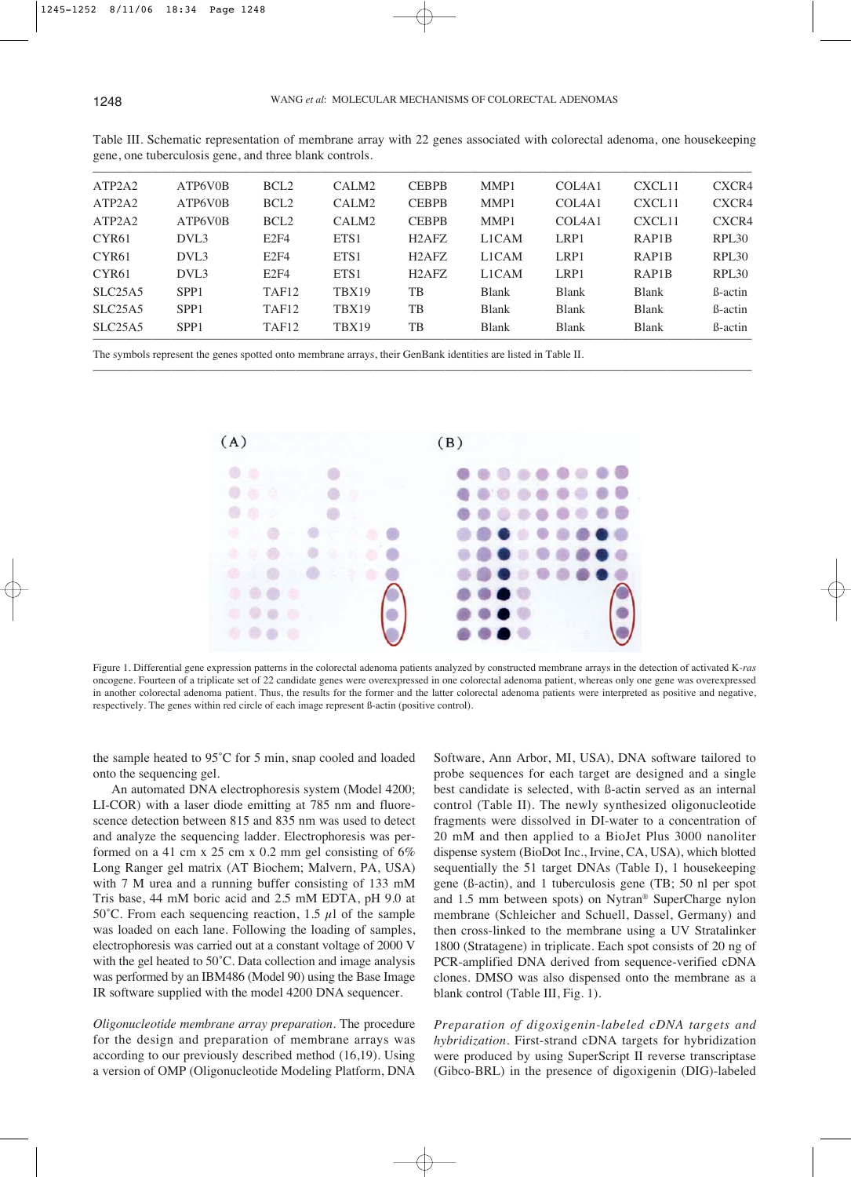| ATP2A2            | ATP6V0B          | BCL <sub>2</sub>  | CALM <sub>2</sub> | <b>CEBPB</b>                   | MMP1         | COL <sub>4</sub> A <sub>1</sub> | CXCL11             | CXCR4             |
|-------------------|------------------|-------------------|-------------------|--------------------------------|--------------|---------------------------------|--------------------|-------------------|
| ATP2A2            | ATP6V0B          | BCL <sub>2</sub>  | CALM <sub>2</sub> | <b>CEBPB</b>                   | MMP1         | COL <sub>4</sub> A <sub>1</sub> | CXCL11             | CXCR4             |
| ATP2A2            | ATP6V0B          | BCL <sub>2</sub>  | CALM <sub>2</sub> | <b>CEBPB</b>                   | MMP1         | COL <sub>4</sub> A <sub>1</sub> | CXCL11             | CXCR4             |
| CYR <sub>61</sub> | DVL3             | E2F4              | ETS1              | H <sub>2</sub> AF <sub>Z</sub> | L1CAM        | LRP1                            | RAP <sub>1</sub> B | RPL <sub>30</sub> |
| CYR <sub>61</sub> | DVL3             | E2F4              | ETS1              | H <sub>2</sub> AF <sub>Z</sub> | L1CAM        | LRP1                            | RAP <sub>1</sub> B | RPL <sub>30</sub> |
| CYR <sub>61</sub> | DVL <sub>3</sub> | E2F4              | ETS1              | H <sub>2</sub> AF <sub>Z</sub> | L1CAM        | LRP1                            | RAP <sub>1</sub> B | RPL <sub>30</sub> |
| SLC25A5           | SPP <sub>1</sub> | TAF <sub>12</sub> | TBX19             | TB                             | <b>Blank</b> | <b>Blank</b>                    | <b>Blank</b>       | <b>B</b> -actin   |
| SLC25A5           | SPP <sub>1</sub> | TAF <sub>12</sub> | TBX19             | TB                             | <b>Blank</b> | <b>Blank</b>                    | <b>Blank</b>       | <b>B</b> -actin   |
| SLC25A5           | SPP <sub>1</sub> | TAF <sub>12</sub> | TBX19             | TB                             | <b>Blank</b> | <b>Blank</b>                    | <b>Blank</b>       | <b>B</b> -actin   |
|                   |                  |                   |                   |                                |              |                                 |                    |                   |

–––––––––––––––––––––––––––––––––––––––––––––––––––––––––––––––––––––––––––––––––––––––––––––––––––––

Table III. Schematic representation of membrane array with 22 genes associated with colorectal adenoma, one housekeeping gene, one tuberculosis gene, and three blank controls.

The symbols represent the genes spotted onto membrane arrays, their GenBank identities are listed in Table II.



Figure 1. Differential gene expression patterns in the colorectal adenoma patients analyzed by constructed membrane arrays in the detection of activated K-*ras* oncogene. Fourteen of a triplicate set of 22 candidate genes were overexpressed in one colorectal adenoma patient, whereas only one gene was overexpressed in another colorectal adenoma patient. Thus, the results for the former and the latter colorectal adenoma patients were interpreted as positive and negative, respectively. The genes within red circle of each image represent ß-actin (positive control).

the sample heated to 95˚C for 5 min, snap cooled and loaded onto the sequencing gel.

An automated DNA electrophoresis system (Model 4200; LI-COR) with a laser diode emitting at 785 nm and fluorescence detection between 815 and 835 nm was used to detect and analyze the sequencing ladder. Electrophoresis was performed on a 41 cm x 25 cm x 0.2 mm gel consisting of  $6\%$ Long Ranger gel matrix (AT Biochem; Malvern, PA, USA) with 7 M urea and a running buffer consisting of 133 mM Tris base, 44 mM boric acid and 2.5 mM EDTA, pH 9.0 at 50°C. From each sequencing reaction, 1.5  $\mu$ l of the sample was loaded on each lane. Following the loading of samples, electrophoresis was carried out at a constant voltage of 2000 V with the gel heated to 50°C. Data collection and image analysis was performed by an IBM486 (Model 90) using the Base Image IR software supplied with the model 4200 DNA sequencer.

*Oligonucleotide membrane array preparation*. The procedure for the design and preparation of membrane arrays was according to our previously described method (16,19). Using a version of OMP (Oligonucleotide Modeling Platform, DNA

Software, Ann Arbor, MI, USA), DNA software tailored to probe sequences for each target are designed and a single best candidate is selected, with ß-actin served as an internal control (Table II). The newly synthesized oligonucleotide fragments were dissolved in DI-water to a concentration of 20 mM and then applied to a BioJet Plus 3000 nanoliter dispense system (BioDot Inc., Irvine, CA, USA), which blotted sequentially the 51 target DNAs (Table I), 1 housekeeping gene (ß-actin), and 1 tuberculosis gene (TB; 50 nl per spot and 1.5 mm between spots) on Nytran® SuperCharge nylon membrane (Schleicher and Schuell, Dassel, Germany) and then cross-linked to the membrane using a UV Stratalinker 1800 (Stratagene) in triplicate. Each spot consists of 20 ng of PCR-amplified DNA derived from sequence-verified cDNA clones. DMSO was also dispensed onto the membrane as a blank control (Table III, Fig. 1).

*Preparation of digoxigenin-labeled cDNA targets and hybridization*. First-strand cDNA targets for hybridization were produced by using SuperScript II reverse transcriptase (Gibco-BRL) in the presence of digoxigenin (DIG)-labeled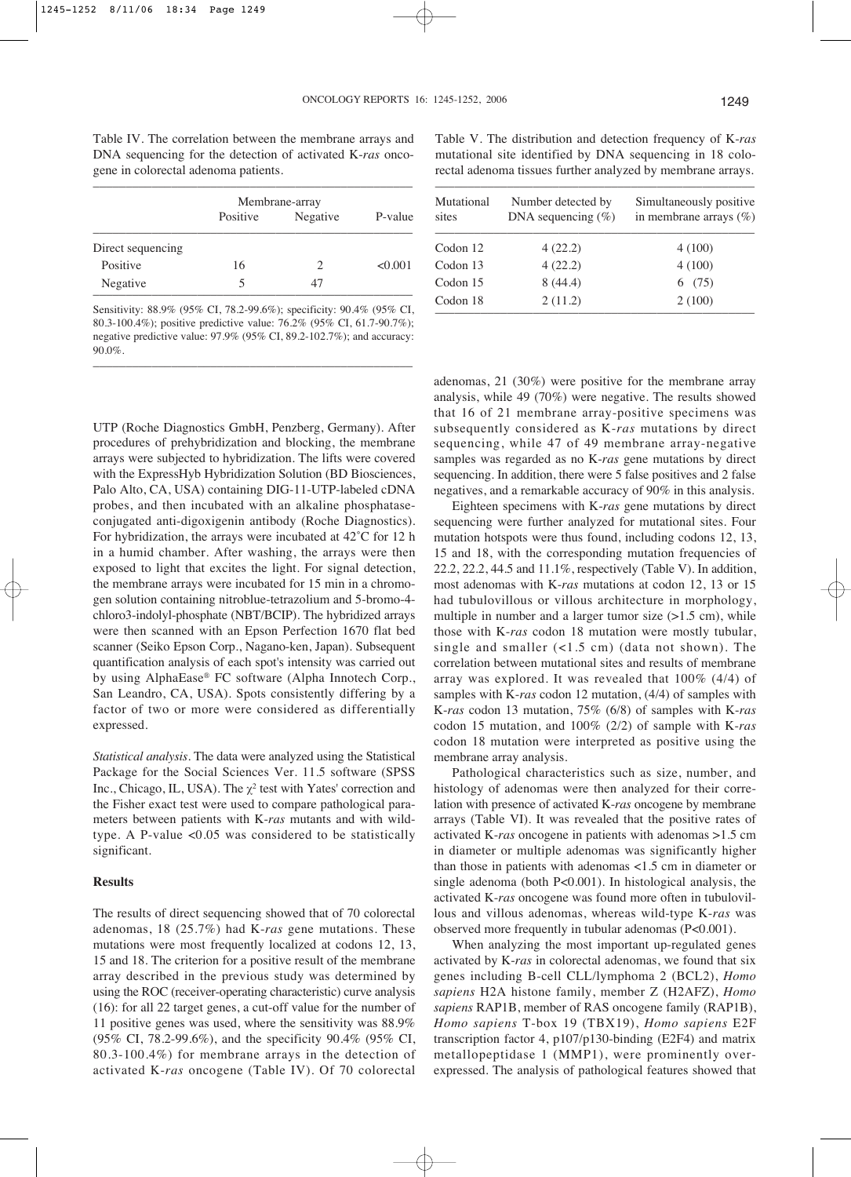Table IV. The correlation between the membrane arrays and DNA sequencing for the detection of activated K-*ras* oncogene in colorectal adenoma patients.

|                   |          | Membrane-array              |         |
|-------------------|----------|-----------------------------|---------|
|                   | Positive | Negative                    | P-value |
| Direct sequencing |          |                             |         |
| Positive          | 16       | $\mathcal{D}_{\mathcal{L}}$ | < 0.001 |
| Negative          | 5        | 47                          |         |

Sensitivity: 88.9% (95% CI, 78.2-99.6%); specificity: 90.4% (95% CI, 80.3-100.4%); positive predictive value: 76.2% (95% CI, 61.7-90.7%); negative predictive value: 97.9% (95% CI, 89.2-102.7%); and accuracy: 90.0%.

–––––––––––––––––––––––––––––––––––––––––––––––––

UTP (Roche Diagnostics GmbH, Penzberg, Germany). After procedures of prehybridization and blocking, the membrane arrays were subjected to hybridization. The lifts were covered with the ExpressHyb Hybridization Solution (BD Biosciences, Palo Alto, CA, USA) containing DIG-11-UTP-labeled cDNA probes, and then incubated with an alkaline phosphataseconjugated anti-digoxigenin antibody (Roche Diagnostics). For hybridization, the arrays were incubated at 42˚C for 12 h in a humid chamber. After washing, the arrays were then exposed to light that excites the light. For signal detection, the membrane arrays were incubated for 15 min in a chromogen solution containing nitroblue-tetrazolium and 5-bromo-4 chloro3-indolyl-phosphate (NBT/BCIP). The hybridized arrays were then scanned with an Epson Perfection 1670 flat bed scanner (Seiko Epson Corp., Nagano-ken, Japan). Subsequent quantification analysis of each spot's intensity was carried out by using AlphaEase® FC software (Alpha Innotech Corp., San Leandro, CA, USA). Spots consistently differing by a factor of two or more were considered as differentially expressed.

*Statistical analysis*. The data were analyzed using the Statistical Package for the Social Sciences Ver. 11.5 software (SPSS Inc., Chicago, IL, USA). The  $\chi^2$  test with Yates' correction and the Fisher exact test were used to compare pathological parameters between patients with K-*ras* mutants and with wildtype. A P-value <0.05 was considered to be statistically significant.

#### **Results**

The results of direct sequencing showed that of 70 colorectal adenomas, 18 (25.7%) had K-*ras* gene mutations. These mutations were most frequently localized at codons 12, 13, 15 and 18. The criterion for a positive result of the membrane array described in the previous study was determined by using the ROC (receiver-operating characteristic) curve analysis (16): for all 22 target genes, a cut-off value for the number of 11 positive genes was used, where the sensitivity was 88.9% (95% CI, 78.2-99.6%), and the specificity 90.4% (95% CI, 80.3-100.4%) for membrane arrays in the detection of activated K-*ras* oncogene (Table IV). Of 70 colorectal

Table V. The distribution and detection frequency of K-*ras* mutational site identified by DNA sequencing in 18 colorectal adenoma tissues further analyzed by membrane arrays.

| Mutational<br>sites | Number detected by<br>DNA sequencing $(\%)$ | Simultaneously positive.<br>in membrane arrays $(\%)$ |
|---------------------|---------------------------------------------|-------------------------------------------------------|
| Codon 12            | 4(22.2)                                     | 4(100)                                                |
| Codon 13            | 4(22.2)                                     | 4(100)                                                |
| Codon 15            | 8(44.4)                                     | 6(75)                                                 |
| Codon 18            | 2(11.2)                                     | 2(100)                                                |

adenomas, 21 (30%) were positive for the membrane array analysis, while 49 (70%) were negative. The results showed that 16 of 21 membrane array-positive specimens was subsequently considered as K-*ras* mutations by direct sequencing, while 47 of 49 membrane array-negative samples was regarded as no K-*ras* gene mutations by direct sequencing. In addition, there were 5 false positives and 2 false negatives, and a remarkable accuracy of 90% in this analysis.

Eighteen specimens with K-*ras* gene mutations by direct sequencing were further analyzed for mutational sites. Four mutation hotspots were thus found, including codons 12, 13, 15 and 18, with the corresponding mutation frequencies of 22.2, 22.2, 44.5 and 11.1%, respectively (Table V). In addition, most adenomas with K-*ras* mutations at codon 12, 13 or 15 had tubulovillous or villous architecture in morphology, multiple in number and a larger tumor size  $(>1.5 \text{ cm})$ , while those with K-*ras* codon 18 mutation were mostly tubular, single and smaller  $($ <1.5 cm) (data not shown). The correlation between mutational sites and results of membrane array was explored. It was revealed that 100% (4/4) of samples with K-*ras* codon 12 mutation, (4/4) of samples with K-*ras* codon 13 mutation, 75% (6/8) of samples with K-*ras* codon 15 mutation, and 100% (2/2) of sample with K-*ras* codon 18 mutation were interpreted as positive using the membrane array analysis.

Pathological characteristics such as size, number, and histology of adenomas were then analyzed for their correlation with presence of activated K-*ras* oncogene by membrane arrays (Table VI). It was revealed that the positive rates of activated K-*ras* oncogene in patients with adenomas >1.5 cm in diameter or multiple adenomas was significantly higher than those in patients with adenomas <1.5 cm in diameter or single adenoma (both P<0.001). In histological analysis, the activated K-*ras* oncogene was found more often in tubulovillous and villous adenomas, whereas wild-type K-*ras* was observed more frequently in tubular adenomas (P<0.001).

When analyzing the most important up-regulated genes activated by K-*ras* in colorectal adenomas, we found that six genes including B-cell CLL/lymphoma 2 (BCL2), *Homo sapiens* H2A histone family, member Z (H2AFZ), *Homo sapiens* RAP1B, member of RAS oncogene family (RAP1B), *Homo sapiens* T-box 19 (TBX19), *Homo sapiens* E2F transcription factor 4, p107/p130-binding (E2F4) and matrix metallopeptidase 1 (MMP1), were prominently overexpressed. The analysis of pathological features showed that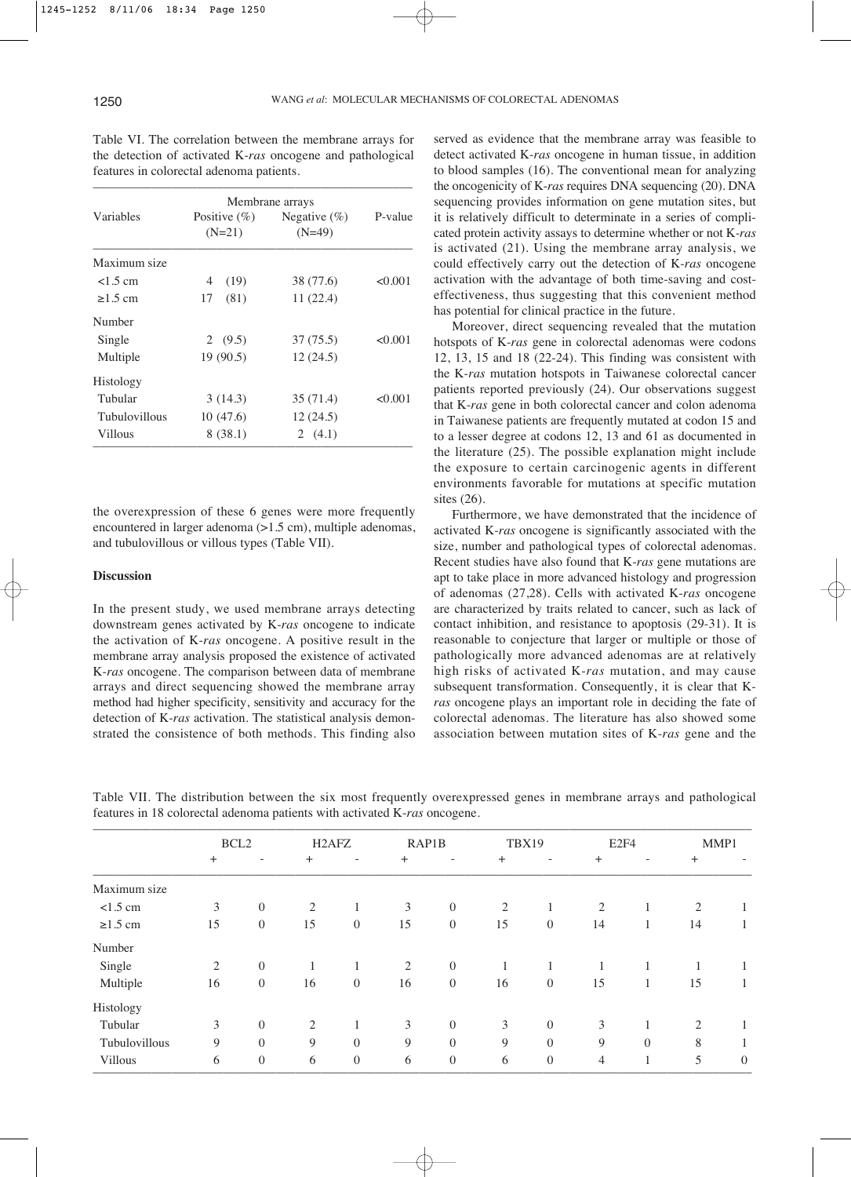|                      | Membrane arrays             |                              |         |  |
|----------------------|-----------------------------|------------------------------|---------|--|
| Variables            | Positive $(\%)$<br>$(N=21)$ | Negative $(\% )$<br>$(N=49)$ | P-value |  |
| Maximum size         |                             |                              |         |  |
| $<1.5$ cm            | (19)<br>4                   | 38 (77.6)                    | < 0.001 |  |
| $\geq$ 1.5 cm        | (81)<br>17                  | 11(22.4)                     |         |  |
| Number               |                             |                              |         |  |
| Single               | 2 $(9.5)$                   | 37 (75.5)                    | < 0.001 |  |
| Multiple             | 19(90.5)                    | 12(24.5)                     |         |  |
| Histology            |                             |                              |         |  |
| Tubular              | 3(14.3)                     | 35(71.4)                     | < 0.001 |  |
| <b>Tubulovillous</b> | 10(47.6)                    | 12(24.5)                     |         |  |
| Villous              | 8(38.1)                     | 2 $(4.1)$                    |         |  |

Table VI. The correlation between the membrane arrays for the detection of activated K-*ras* oncogene and pathological features in colorectal adenoma patients.

the overexpression of these 6 genes were more frequently encountered in larger adenoma (>1.5 cm), multiple adenomas, and tubulovillous or villous types (Table VII).

## **Discussion**

In the present study, we used membrane arrays detecting downstream genes activated by K-*ras* oncogene to indicate the activation of K-*ras* oncogene. A positive result in the membrane array analysis proposed the existence of activated K-*ras* oncogene. The comparison between data of membrane arrays and direct sequencing showed the membrane array method had higher specificity, sensitivity and accuracy for the detection of K-*ras* activation. The statistical analysis demonstrated the consistence of both methods. This finding also served as evidence that the membrane array was feasible to detect activated K-*ras* oncogene in human tissue, in addition to blood samples (16). The conventional mean for analyzing the oncogenicity of K-*ras* requires DNA sequencing (20). DNA sequencing provides information on gene mutation sites, but it is relatively difficult to determinate in a series of complicated protein activity assays to determine whether or not K-*ras* is activated (21). Using the membrane array analysis, we could effectively carry out the detection of K-*ras* oncogene activation with the advantage of both time-saving and costeffectiveness, thus suggesting that this convenient method has potential for clinical practice in the future.

Moreover, direct sequencing revealed that the mutation hotspots of K-*ras* gene in colorectal adenomas were codons 12, 13, 15 and 18 (22-24). This finding was consistent with the K-*ras* mutation hotspots in Taiwanese colorectal cancer patients reported previously (24). Our observations suggest that K-*ras* gene in both colorectal cancer and colon adenoma in Taiwanese patients are frequently mutated at codon 15 and to a lesser degree at codons 12, 13 and 61 as documented in the literature (25). The possible explanation might include the exposure to certain carcinogenic agents in different environments favorable for mutations at specific mutation sites (26).

Furthermore, we have demonstrated that the incidence of activated K-*ras* oncogene is significantly associated with the size, number and pathological types of colorectal adenomas. Recent studies have also found that K-*ras* gene mutations are apt to take place in more advanced histology and progression of adenomas (27,28). Cells with activated K-*ras* oncogene are characterized by traits related to cancer, such as lack of contact inhibition, and resistance to apoptosis (29-31). It is reasonable to conjecture that larger or multiple or those of pathologically more advanced adenomas are at relatively high risks of activated K-*ras* mutation, and may cause subsequent transformation. Consequently, it is clear that K*ras* oncogene plays an important role in deciding the fate of colorectal adenomas. The literature has also showed some association between mutation sites of K-*ras* gene and the

|               | BCL <sub>2</sub> |                          | H <sub>2</sub> AF <sub>Z</sub> |                          | RAP1B  |                          | TBX19     |                | E <sub>2F4</sub> |                          |              | MMP1             |
|---------------|------------------|--------------------------|--------------------------------|--------------------------|--------|--------------------------|-----------|----------------|------------------|--------------------------|--------------|------------------|
|               | $^{+}$           | $\overline{\phantom{a}}$ | $+$                            | $\overline{\phantom{a}}$ | $^{+}$ | $\overline{\phantom{a}}$ | $\ddot{}$ | -              | $^{+}$           | $\overline{\phantom{a}}$ | $+$          |                  |
| Maximum size  |                  |                          |                                |                          |        |                          |           |                |                  |                          |              |                  |
| $<1.5$ cm     | 3                | $\overline{0}$           | 2                              |                          | 3      | $\overline{0}$           | 2         | 1              | 2                |                          | 2            |                  |
| $\geq$ 1.5 cm | 15               | $\boldsymbol{0}$         | 15                             | $\boldsymbol{0}$         | 15     | $\overline{0}$           | 15        | $\overline{0}$ | 14               |                          | 14           |                  |
| Number        |                  |                          |                                |                          |        |                          |           |                |                  |                          |              |                  |
| Single        | 2                | $\mathbf{0}$             |                                | 1<br>1                   | 2      | $\overline{0}$           | 1         | 1              | 1                |                          | $\mathbf{1}$ |                  |
| Multiple      | 16               | $\overline{0}$           | 16                             | $\overline{0}$           | 16     | $\overline{0}$           | 16        | $\overline{0}$ | 15               | 1                        | 15           |                  |
| Histology     |                  |                          |                                |                          |        |                          |           |                |                  |                          |              |                  |
| Tubular       | 3                | $\overline{0}$           | $\overline{2}$                 |                          | 3      | $\theta$                 | 3         | $\overline{0}$ | 3                |                          | 2            |                  |
| Tubulovillous | 9                | $\theta$                 | 9                              | $\theta$                 | 9      | $\theta$                 | 9         | $\theta$       | 9                | $\Omega$                 | 8            |                  |
| Villous       | 6                | $\boldsymbol{0}$         | 6                              | $\overline{0}$           | 6      | $\overline{0}$           | 6         | $\overline{0}$ | $\overline{4}$   |                          | 5            | $\boldsymbol{0}$ |

Table VII. The distribution between the six most frequently overexpressed genes in membrane arrays and pathological features in 18 colorectal adenoma patients with activated K-*ras* oncogene.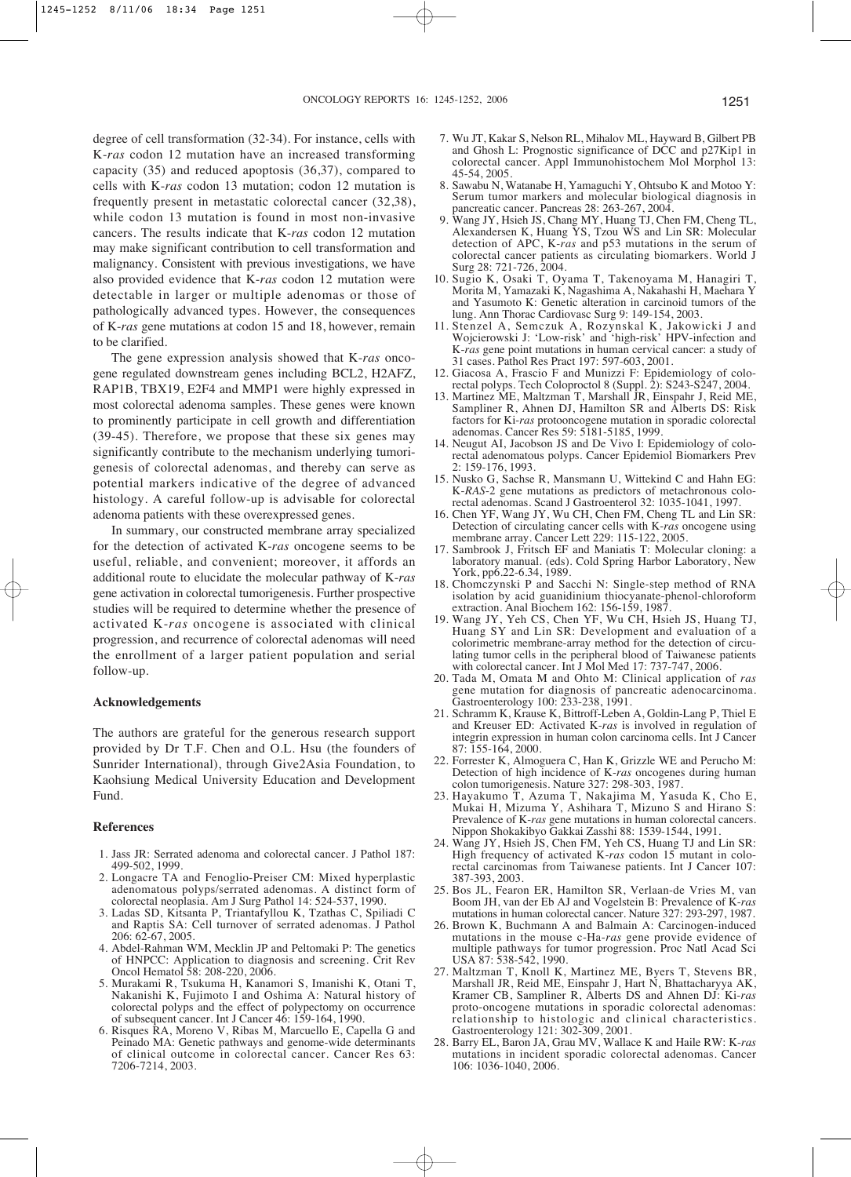degree of cell transformation (32-34). For instance, cells with K-*ras* codon 12 mutation have an increased transforming capacity (35) and reduced apoptosis (36,37), compared to cells with K-*ras* codon 13 mutation; codon 12 mutation is frequently present in metastatic colorectal cancer (32,38), while codon 13 mutation is found in most non-invasive cancers. The results indicate that K-*ras* codon 12 mutation may make significant contribution to cell transformation and malignancy. Consistent with previous investigations, we have also provided evidence that K-*ras* codon 12 mutation were detectable in larger or multiple adenomas or those of pathologically advanced types. However, the consequences of K-*ras* gene mutations at codon 15 and 18, however, remain to be clarified.

The gene expression analysis showed that K-*ras* oncogene regulated downstream genes including BCL2, H2AFZ, RAP1B, TBX19, E2F4 and MMP1 were highly expressed in most colorectal adenoma samples. These genes were known to prominently participate in cell growth and differentiation (39-45). Therefore, we propose that these six genes may significantly contribute to the mechanism underlying tumorigenesis of colorectal adenomas, and thereby can serve as potential markers indicative of the degree of advanced histology. A careful follow-up is advisable for colorectal adenoma patients with these overexpressed genes.

In summary, our constructed membrane array specialized for the detection of activated K-*ras* oncogene seems to be useful, reliable, and convenient; moreover, it affords an additional route to elucidate the molecular pathway of K-*ras* gene activation in colorectal tumorigenesis. Further prospective studies will be required to determine whether the presence of activated K-*ras* oncogene is associated with clinical progression, and recurrence of colorectal adenomas will need the enrollment of a larger patient population and serial follow-up.

## **Acknowledgements**

The authors are grateful for the generous research support provided by Dr T.F. Chen and O.L. Hsu (the founders of Sunrider International), through Give2Asia Foundation, to Kaohsiung Medical University Education and Development Fund.

#### **References**

- 1. Jass JR: Serrated adenoma and colorectal cancer. J Pathol 187: 499-502, 1999.
- 2. Longacre TA and Fenoglio-Preiser CM: Mixed hyperplastic adenomatous polyps/serrated adenomas. A distinct form of colorectal neoplasia. Am J Surg Pathol 14: 524-537, 1990.
- 3. Ladas SD, Kitsanta P, Triantafyllou K, Tzathas C, Spiliadi C and Raptis SA: Cell turnover of serrated adenomas. J Pathol 206: 62-67, 2005.
- 4. Abdel-Rahman WM, Mecklin JP and Peltomaki P: The genetics of HNPCC: Application to diagnosis and screening. Crit Rev Oncol Hematol 58: 208-220, 2006.
- 5. Murakami R, Tsukuma H, Kanamori S, Imanishi K, Otani T, Nakanishi K, Fujimoto I and Oshima A: Natural history of colorectal polyps and the effect of polypectomy on occurrence of subsequent cancer. Int J Cancer 46: 159-164, 1990.
- 6. Risques RA, Moreno V, Ribas M, Marcuello E, Capella G and Peinado MA: Genetic pathways and genome-wide determinants of clinical outcome in colorectal cancer. Cancer Res 63: 7206-7214, 2003.
- 7. Wu JT, Kakar S, Nelson RL, Mihalov ML, Hayward B, Gilbert PB and Ghosh L: Prognostic significance of DCC and p27Kip1 in colorectal cancer. Appl Immunohistochem Mol Morphol 13: 45-54, 2005.
- 8. Sawabu N, Watanabe H, Yamaguchi Y, Ohtsubo K and Motoo Y: Serum tumor markers and molecular biological diagnosis in pancreatic cancer. Pancreas 28: 263-267, 2004.
- 9. Wang JY, Hsieh JS, Chang MY, Huang TJ, Chen FM, Cheng TL, Alexandersen K, Huang YS, Tzou WS and Lin SR: Molecular detection of APC, K-*ras* and p53 mutations in the serum of colorectal cancer patients as circulating biomarkers. World J Surg 28: 721-726, 2004.
- 10. Sugio K, Osaki T, Oyama T, Takenoyama M, Hanagiri T, Morita M, Yamazaki K, Nagashima A, Nakahashi H, Maehara Y and Yasumoto K: Genetic alteration in carcinoid tumors of the lung. Ann Thorac Cardiovasc Surg 9: 149-154, 2003.
- 11. Stenzel A, Semczuk A, Rozynskal K, Jakowicki J and Wojcierowski J: 'Low-risk' and 'high-risk' HPV-infection and K-*ras* gene point mutations in human cervical cancer: a study of 31 cases. Pathol Res Pract 197: 597-603, 2001.
- 12. Giacosa A, Frascio F and Munizzi F: Epidemiology of colorectal polyps. Tech Coloproctol 8 (Suppl. 2): S243-S247, 2004.
- 13. Martinez ME, Maltzman T, Marshall JR, Einspahr J, Reid ME, Sampliner R, Ahnen DJ, Hamilton SR and Alberts DS: Risk factors for Ki-*ras* protooncogene mutation in sporadic colorectal adenomas. Cancer Res 59: 5181-5185, 1999.
- 14. Neugut AI, Jacobson JS and De Vivo I: Epidemiology of colorectal adenomatous polyps. Cancer Epidemiol Biomarkers Prev 2: 159-176, 1993.
- 15. Nusko G, Sachse R, Mansmann U, Wittekind C and Hahn EG: K-*RAS*-2 gene mutations as predictors of metachronous colorectal adenomas. Scand J Gastroenterol 32: 1035-1041, 1997.
- 16. Chen YF, Wang JY, Wu CH, Chen FM, Cheng TL and Lin SR: Detection of circulating cancer cells with K-*ras* oncogene using membrane array. Cancer Lett 229: 115-122, 2005.
- 17. Sambrook J, Fritsch EF and Maniatis T: Molecular cloning: a laboratory manual. (eds). Cold Spring Harbor Laboratory, New York, pp6.22-6.34, 1989.
- 18. Chomczynski P and Sacchi N: Single-step method of RNA isolation by acid guanidinium thiocyanate-phenol-chloroform extraction. Anal Biochem 162: 156-159, 1987.
- 19. Wang JY, Yeh CS, Chen YF, Wu CH, Hsieh JS, Huang TJ, Huang SY and Lin SR: Development and evaluation of a colorimetric membrane-array method for the detection of circulating tumor cells in the peripheral blood of Taiwanese patients with colorectal cancer. Int J Mol Med 17: 737-747, 2006.
- 20. Tada M, Omata M and Ohto M: Clinical application of *ras* gene mutation for diagnosis of pancreatic adenocarcinoma. Gastroenterology 100: 233-238, 1991.
- 21. Schramm K, Krause K, Bittroff-Leben A, Goldin-Lang P, Thiel E and Kreuser ED: Activated K-*ras* is involved in regulation of integrin expression in human colon carcinoma cells. Int J Cancer 87: 155-164, 2000.
- 22. Forrester K, Almoguera C, Han K, Grizzle WE and Perucho M: Detection of high incidence of K-*ras* oncogenes during human colon tumorigenesis. Nature 327: 298-303, 1987.
- 23. Hayakumo T, Azuma T, Nakajima M, Yasuda K, Cho E, Mukai H, Mizuma Y, Ashihara T, Mizuno S and Hirano S: Prevalence of K-*ras* gene mutations in human colorectal cancers. Nippon Shokakibyo Gakkai Zasshi 88: 1539-1544, 1991.
- 24. Wang JY, Hsieh JS, Chen FM, Yeh CS, Huang TJ and Lin SR: High frequency of activated K-*ras* codon 15 mutant in colorectal carcinomas from Taiwanese patients. Int J Cancer 107: 387-393, 2003.
- 25. Bos JL, Fearon ER, Hamilton SR, Verlaan-de Vries M, van Boom JH, van der Eb AJ and Vogelstein B: Prevalence of K-ras mutations in human colorectal cancer. Nature 327: 293-297, 1987.
- 26. Brown K, Buchmann A and Balmain A: Carcinogen-induced mutations in the mouse c-Ha-*ras* gene provide evidence of multiple pathways for tumor progression. Proc Natl Acad Sci USA 87: 538-542, 1990.
- 27. Maltzman T, Knoll K, Martinez ME, Byers T, Stevens BR, Marshall JR, Reid ME, Einspahr J, Hart N, Bhattacharyya AK, Kramer CB, Sampliner R, Alberts DS and Ahnen DJ: Ki-*ras* proto-oncogene mutations in sporadic colorectal adenomas: relationship to histologic and clinical characteristics. Gastroenterology 121: 302-309, 2001.
- 28. Barry EL, Baron JA, Grau MV, Wallace K and Haile RW: K-*ras* mutations in incident sporadic colorectal adenomas. Cancer 106: 1036-1040, 2006.